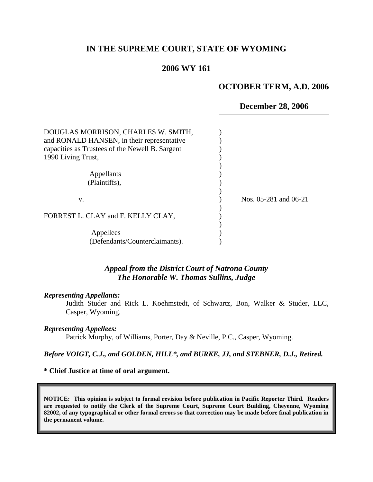# **IN THE SUPREME COURT, STATE OF WYOMING**

# **2006 WY 161**

### **OCTOBER TERM, A.D. 2006**

**December 28, 2006**

| DOUGLAS MORRISON, CHARLES W. SMITH,<br>and RONALD HANSEN, in their representative<br>capacities as Trustees of the Newell B. Sargent<br>1990 Living Trust, |                       |
|------------------------------------------------------------------------------------------------------------------------------------------------------------|-----------------------|
| Appellants<br>(Plaintiffs),                                                                                                                                |                       |
| V.                                                                                                                                                         | Nos. 05-281 and 06-21 |
| FORREST L. CLAY and F. KELLY CLAY,                                                                                                                         |                       |
| Appellees<br>(Defendants/Counterclaimants).                                                                                                                |                       |

## *Appeal from the District Court of Natrona County The Honorable W. Thomas Sullins, Judge*

#### *Representing Appellants:*

Judith Studer and Rick L. Koehmstedt, of Schwartz, Bon, Walker & Studer, LLC, Casper, Wyoming.

#### *Representing Appellees:*

Patrick Murphy, of Williams, Porter, Day & Neville, P.C., Casper, Wyoming.

### *Before VOIGT, C.J., and GOLDEN, HILL\*, and BURKE, JJ, and STEBNER, D.J., Retired.*

### **\* Chief Justice at time of oral argument.**

**NOTICE: This opinion is subject to formal revision before publication in Pacific Reporter Third. Readers are requested to notify the Clerk of the Supreme Court, Supreme Court Building, Cheyenne, Wyoming 82002, of any typographical or other formal errors so that correction may be made before final publication in the permanent volume.**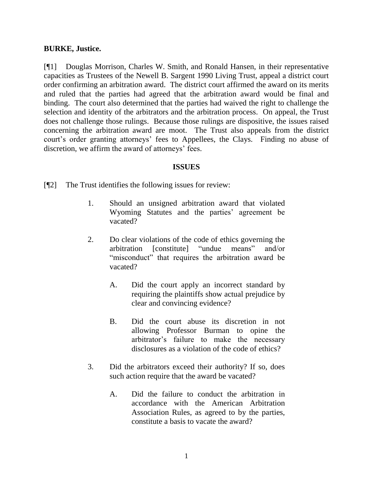## **BURKE, Justice.**

[¶1] Douglas Morrison, Charles W. Smith, and Ronald Hansen, in their representative capacities as Trustees of the Newell B. Sargent 1990 Living Trust, appeal a district court order confirming an arbitration award. The district court affirmed the award on its merits and ruled that the parties had agreed that the arbitration award would be final and binding. The court also determined that the parties had waived the right to challenge the selection and identity of the arbitrators and the arbitration process. On appeal, the Trust does not challenge those rulings. Because those rulings are dispositive, the issues raised concerning the arbitration award are moot. The Trust also appeals from the district court's order granting attorneys' fees to Appellees, the Clays. Finding no abuse of discretion, we affirm the award of attorneys' fees.

### **ISSUES**

[¶2] The Trust identifies the following issues for review:

- 1. Should an unsigned arbitration award that violated Wyoming Statutes and the parties' agreement be vacated?
- 2. Do clear violations of the code of ethics governing the arbitration [constitute] "undue means" and/or "misconduct" that requires the arbitration award be vacated?
	- A. Did the court apply an incorrect standard by requiring the plaintiffs show actual prejudice by clear and convincing evidence?
	- B. Did the court abuse its discretion in not allowing Professor Burman to opine the arbitrator"s failure to make the necessary disclosures as a violation of the code of ethics?
- 3. Did the arbitrators exceed their authority? If so, does such action require that the award be vacated?
	- A. Did the failure to conduct the arbitration in accordance with the American Arbitration Association Rules, as agreed to by the parties, constitute a basis to vacate the award?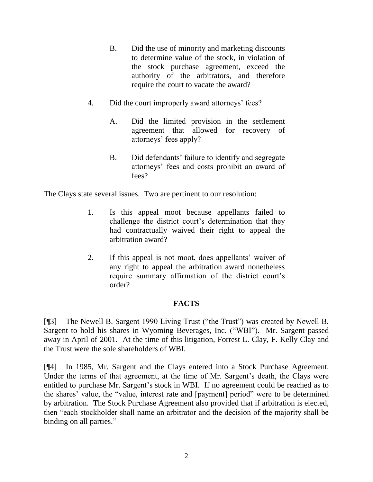- B. Did the use of minority and marketing discounts to determine value of the stock, in violation of the stock purchase agreement, exceed the authority of the arbitrators, and therefore require the court to vacate the award?
- 4. Did the court improperly award attorneys' fees?
	- A. Did the limited provision in the settlement agreement that allowed for recovery of attorneys' fees apply?
	- B. Did defendants' failure to identify and segregate attorneys" fees and costs prohibit an award of fees?

The Clays state several issues. Two are pertinent to our resolution:

- 1. Is this appeal moot because appellants failed to challenge the district court's determination that they had contractually waived their right to appeal the arbitration award?
- 2. If this appeal is not moot, does appellants' waiver of any right to appeal the arbitration award nonetheless require summary affirmation of the district court's order?

# **FACTS**

[¶3] The Newell B. Sargent 1990 Living Trust ("the Trust") was created by Newell B. Sargent to hold his shares in Wyoming Beverages, Inc. ("WBI"). Mr. Sargent passed away in April of 2001. At the time of this litigation, Forrest L. Clay, F. Kelly Clay and the Trust were the sole shareholders of WBI.

[¶4] In 1985, Mr. Sargent and the Clays entered into a Stock Purchase Agreement. Under the terms of that agreement, at the time of Mr. Sargent's death, the Clays were entitled to purchase Mr. Sargent's stock in WBI. If no agreement could be reached as to the shares" value, the "value, interest rate and [payment] period" were to be determined by arbitration. The Stock Purchase Agreement also provided that if arbitration is elected, then "each stockholder shall name an arbitrator and the decision of the majority shall be binding on all parties."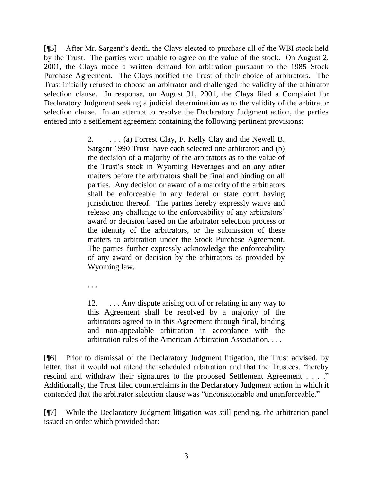[¶5] After Mr. Sargent"s death, the Clays elected to purchase all of the WBI stock held by the Trust. The parties were unable to agree on the value of the stock. On August 2, 2001, the Clays made a written demand for arbitration pursuant to the 1985 Stock Purchase Agreement. The Clays notified the Trust of their choice of arbitrators. The Trust initially refused to choose an arbitrator and challenged the validity of the arbitrator selection clause. In response, on August 31, 2001, the Clays filed a Complaint for Declaratory Judgment seeking a judicial determination as to the validity of the arbitrator selection clause. In an attempt to resolve the Declaratory Judgment action, the parties entered into a settlement agreement containing the following pertinent provisions:

> 2. . . . (a) Forrest Clay, F. Kelly Clay and the Newell B. Sargent 1990 Trust have each selected one arbitrator; and (b) the decision of a majority of the arbitrators as to the value of the Trust"s stock in Wyoming Beverages and on any other matters before the arbitrators shall be final and binding on all parties. Any decision or award of a majority of the arbitrators shall be enforceable in any federal or state court having jurisdiction thereof. The parties hereby expressly waive and release any challenge to the enforceability of any arbitrators' award or decision based on the arbitrator selection process or the identity of the arbitrators, or the submission of these matters to arbitration under the Stock Purchase Agreement. The parties further expressly acknowledge the enforceability of any award or decision by the arbitrators as provided by Wyoming law.

. . .

12. . . . Any dispute arising out of or relating in any way to this Agreement shall be resolved by a majority of the arbitrators agreed to in this Agreement through final, binding and non-appealable arbitration in accordance with the arbitration rules of the American Arbitration Association. . . .

[¶6] Prior to dismissal of the Declaratory Judgment litigation, the Trust advised, by letter, that it would not attend the scheduled arbitration and that the Trustees, "hereby rescind and withdraw their signatures to the proposed Settlement Agreement . . . ." Additionally, the Trust filed counterclaims in the Declaratory Judgment action in which it contended that the arbitrator selection clause was "unconscionable and unenforceable."

[¶7] While the Declaratory Judgment litigation was still pending, the arbitration panel issued an order which provided that: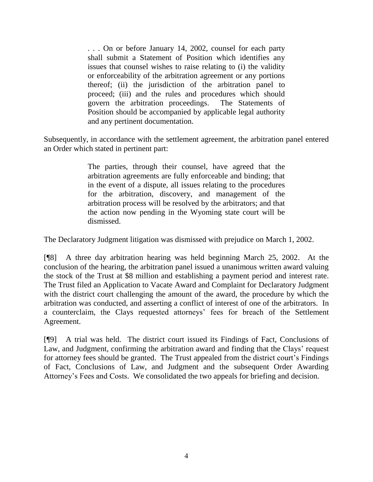. . . On or before January 14, 2002, counsel for each party shall submit a Statement of Position which identifies any issues that counsel wishes to raise relating to (i) the validity or enforceability of the arbitration agreement or any portions thereof; (ii) the jurisdiction of the arbitration panel to proceed; (iii) and the rules and procedures which should govern the arbitration proceedings. The Statements of Position should be accompanied by applicable legal authority and any pertinent documentation.

Subsequently, in accordance with the settlement agreement, the arbitration panel entered an Order which stated in pertinent part:

> The parties, through their counsel, have agreed that the arbitration agreements are fully enforceable and binding; that in the event of a dispute, all issues relating to the procedures for the arbitration, discovery, and management of the arbitration process will be resolved by the arbitrators; and that the action now pending in the Wyoming state court will be dismissed.

The Declaratory Judgment litigation was dismissed with prejudice on March 1, 2002.

[¶8] A three day arbitration hearing was held beginning March 25, 2002. At the conclusion of the hearing, the arbitration panel issued a unanimous written award valuing the stock of the Trust at \$8 million and establishing a payment period and interest rate. The Trust filed an Application to Vacate Award and Complaint for Declaratory Judgment with the district court challenging the amount of the award, the procedure by which the arbitration was conducted, and asserting a conflict of interest of one of the arbitrators. In a counterclaim, the Clays requested attorneys" fees for breach of the Settlement Agreement.

[¶9] A trial was held. The district court issued its Findings of Fact, Conclusions of Law, and Judgment, confirming the arbitration award and finding that the Clays' request for attorney fees should be granted. The Trust appealed from the district court's Findings of Fact, Conclusions of Law, and Judgment and the subsequent Order Awarding Attorney"s Fees and Costs. We consolidated the two appeals for briefing and decision.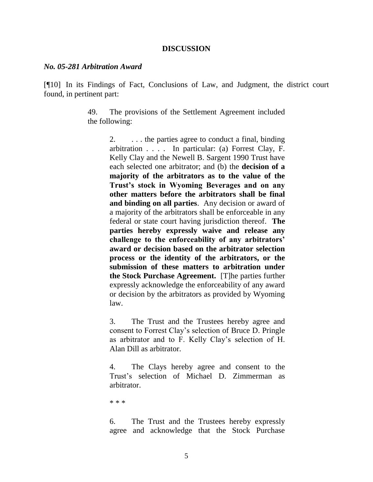### **DISCUSSION**

#### *No. 05-281 Arbitration Award*

[¶10] In its Findings of Fact, Conclusions of Law, and Judgment, the district court found, in pertinent part:

> 49. The provisions of the Settlement Agreement included the following:

> > 2.  $\ldots$  the parties agree to conduct a final, binding arbitration . . . . In particular: (a) Forrest Clay, F. Kelly Clay and the Newell B. Sargent 1990 Trust have each selected one arbitrator; and (b) the **decision of a majority of the arbitrators as to the value of the Trust's stock in Wyoming Beverages and on any other matters before the arbitrators shall be final and binding on all parties**. Any decision or award of a majority of the arbitrators shall be enforceable in any federal or state court having jurisdiction thereof. **The parties hereby expressly waive and release any challenge to the enforceability of any arbitrators' award or decision based on the arbitrator selection process or the identity of the arbitrators, or the submission of these matters to arbitration under the Stock Purchase Agreement.** [T]he parties further expressly acknowledge the enforceability of any award or decision by the arbitrators as provided by Wyoming law.

> > 3. The Trust and the Trustees hereby agree and consent to Forrest Clay"s selection of Bruce D. Pringle as arbitrator and to F. Kelly Clay"s selection of H. Alan Dill as arbitrator.

> > 4. The Clays hereby agree and consent to the Trust"s selection of Michael D. Zimmerman as arbitrator.

\* \* \*

6. The Trust and the Trustees hereby expressly agree and acknowledge that the Stock Purchase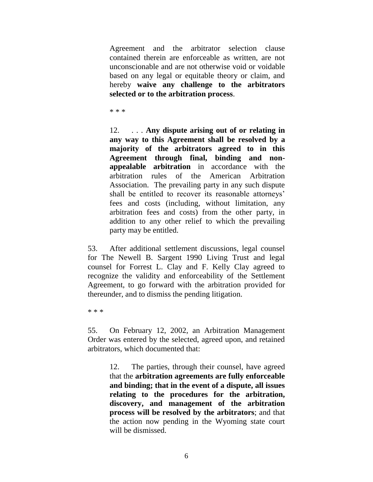Agreement and the arbitrator selection clause contained therein are enforceable as written, are not unconscionable and are not otherwise void or voidable based on any legal or equitable theory or claim, and hereby **waive any challenge to the arbitrators selected or to the arbitration process**.

\* \* \*

12. . . . **Any dispute arising out of or relating in any way to this Agreement shall be resolved by a majority of the arbitrators agreed to in this Agreement through final, binding and nonappealable arbitration** in accordance with the arbitration rules of the American Arbitration Association. The prevailing party in any such dispute shall be entitled to recover its reasonable attorneys' fees and costs (including, without limitation, any arbitration fees and costs) from the other party, in addition to any other relief to which the prevailing party may be entitled.

53. After additional settlement discussions, legal counsel for The Newell B. Sargent 1990 Living Trust and legal counsel for Forrest L. Clay and F. Kelly Clay agreed to recognize the validity and enforceability of the Settlement Agreement, to go forward with the arbitration provided for thereunder, and to dismiss the pending litigation.

\* \* \*

55. On February 12, 2002, an Arbitration Management Order was entered by the selected, agreed upon, and retained arbitrators, which documented that:

> 12. The parties, through their counsel, have agreed that the **arbitration agreements are fully enforceable and binding; that in the event of a dispute, all issues relating to the procedures for the arbitration, discovery, and management of the arbitration process will be resolved by the arbitrators**; and that the action now pending in the Wyoming state court will be dismissed.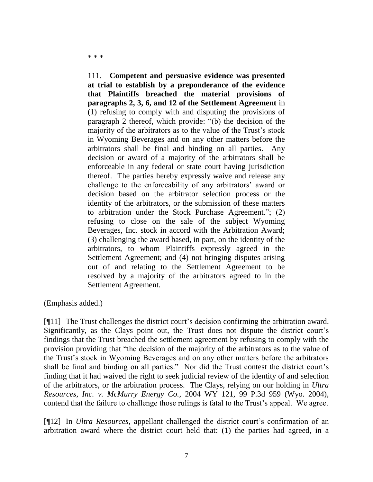111. **Competent and persuasive evidence was presented at trial to establish by a preponderance of the evidence that Plaintiffs breached the material provisions of paragraphs 2, 3, 6, and 12 of the Settlement Agreement** in (1) refusing to comply with and disputing the provisions of paragraph 2 thereof, which provide: "(b) the decision of the majority of the arbitrators as to the value of the Trust"s stock in Wyoming Beverages and on any other matters before the arbitrators shall be final and binding on all parties. Any decision or award of a majority of the arbitrators shall be enforceable in any federal or state court having jurisdiction thereof. The parties hereby expressly waive and release any challenge to the enforceability of any arbitrators' award or decision based on the arbitrator selection process or the identity of the arbitrators, or the submission of these matters to arbitration under the Stock Purchase Agreement."; (2) refusing to close on the sale of the subject Wyoming Beverages, Inc. stock in accord with the Arbitration Award; (3) challenging the award based, in part, on the identity of the arbitrators, to whom Plaintiffs expressly agreed in the Settlement Agreement; and (4) not bringing disputes arising out of and relating to the Settlement Agreement to be resolved by a majority of the arbitrators agreed to in the Settlement Agreement.

(Emphasis added.)

[¶11] The Trust challenges the district court"s decision confirming the arbitration award. Significantly, as the Clays point out, the Trust does not dispute the district court's findings that the Trust breached the settlement agreement by refusing to comply with the provision providing that "the decision of the majority of the arbitrators as to the value of the Trust"s stock in Wyoming Beverages and on any other matters before the arbitrators shall be final and binding on all parties." Nor did the Trust contest the district court's finding that it had waived the right to seek judicial review of the identity of and selection of the arbitrators, or the arbitration process. The Clays, relying on our holding in *Ultra Resources, Inc. v. McMurry Energy Co.*, 2004 WY 121, 99 P.3d 959 (Wyo. 2004), contend that the failure to challenge those rulings is fatal to the Trust's appeal. We agree.

[¶12] In *Ultra Resources*, appellant challenged the district court's confirmation of an arbitration award where the district court held that: (1) the parties had agreed, in a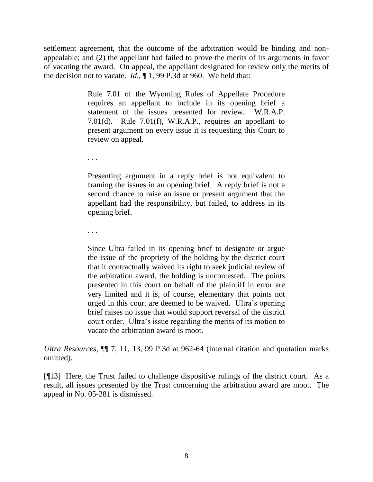settlement agreement, that the outcome of the arbitration would be binding and nonappealable; and (2) the appellant had failed to prove the merits of its arguments in favor of vacating the award. On appeal, the appellant designated for review only the merits of the decision not to vacate. *Id*., ¶ 1, 99 P.3d at 960. We held that:

> Rule 7.01 of the Wyoming Rules of Appellate Procedure requires an appellant to include in its opening brief a statement of the issues presented for review. W.R.A.P. 7.01(d). Rule 7.01(f), W.R.A.P., requires an appellant to present argument on every issue it is requesting this Court to review on appeal.

. . .

Presenting argument in a reply brief is not equivalent to framing the issues in an opening brief. A reply brief is not a second chance to raise an issue or present argument that the appellant had the responsibility, but failed, to address in its opening brief.

. . .

Since Ultra failed in its opening brief to designate or argue the issue of the propriety of the holding by the district court that it contractually waived its right to seek judicial review of the arbitration award, the holding is uncontested. The points presented in this court on behalf of the plaintiff in error are very limited and it is, of course, elementary that points not urged in this court are deemed to be waived. Ultra"s opening brief raises no issue that would support reversal of the district court order. Ultra"s issue regarding the merits of its motion to vacate the arbitration award is moot.

*Ultra Resources*, ¶¶ 7, 11, 13, 99 P.3d at 962-64 (internal citation and quotation marks omitted).

[¶13] Here, the Trust failed to challenge dispositive rulings of the district court. As a result, all issues presented by the Trust concerning the arbitration award are moot. The appeal in No. 05-281 is dismissed.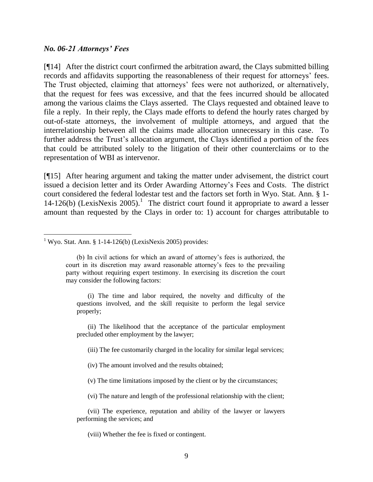### *No. 06-21 Attorneys' Fees*

 $\overline{a}$ 

[¶14] After the district court confirmed the arbitration award, the Clays submitted billing records and affidavits supporting the reasonableness of their request for attorneys' fees. The Trust objected, claiming that attorneys' fees were not authorized, or alternatively, that the request for fees was excessive, and that the fees incurred should be allocated among the various claims the Clays asserted. The Clays requested and obtained leave to file a reply. In their reply, the Clays made efforts to defend the hourly rates charged by out-of-state attorneys, the involvement of multiple attorneys, and argued that the interrelationship between all the claims made allocation unnecessary in this case. To further address the Trust's allocation argument, the Clays identified a portion of the fees that could be attributed solely to the litigation of their other counterclaims or to the representation of WBI as intervenor.

[¶15] After hearing argument and taking the matter under advisement, the district court issued a decision letter and its Order Awarding Attorney"s Fees and Costs. The district court considered the federal lodestar test and the factors set forth in Wyo. Stat. Ann. § 1- 14-126(b) (LexisNexis 2005).<sup>1</sup> The district court found it appropriate to award a lesser amount than requested by the Clays in order to: 1) account for charges attributable to

(i) The time and labor required, the novelty and difficulty of the questions involved, and the skill requisite to perform the legal service properly;

(ii) The likelihood that the acceptance of the particular employment precluded other employment by the lawyer;

(iii) The fee customarily charged in the locality for similar legal services;

(iv) The amount involved and the results obtained;

(v) The time limitations imposed by the client or by the circumstances;

(vi) The nature and length of the professional relationship with the client;

(vii) The experience, reputation and ability of the lawyer or lawyers performing the services; and

(viii) Whether the fee is fixed or contingent.

<sup>&</sup>lt;sup>1</sup> Wyo. Stat. Ann. § 1-14-126(b) (LexisNexis 2005) provides:

<sup>(</sup>b) In civil actions for which an award of attorney"s fees is authorized, the court in its discretion may award reasonable attorney"s fees to the prevailing party without requiring expert testimony. In exercising its discretion the court may consider the following factors: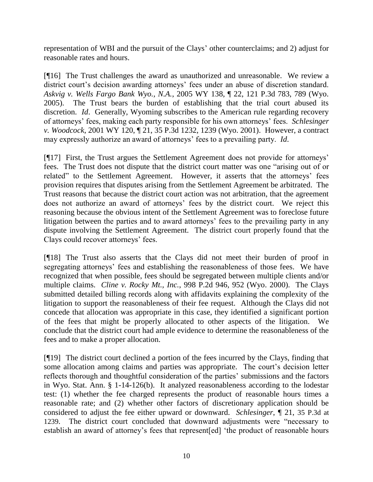representation of WBI and the pursuit of the Clays" other counterclaims; and 2) adjust for reasonable rates and hours.

[¶16] The Trust challenges the award as unauthorized and unreasonable. We review a district court's decision awarding attorneys' fees under an abuse of discretion standard. *Askvig v. Wells Fargo Bank Wyo., N.A.*, 2005 WY 138, ¶ 22, 121 P.3d 783, 789 (Wyo. 2005). The Trust bears the burden of establishing that the trial court abused its discretion. *Id*. Generally, Wyoming subscribes to the American rule regarding recovery of attorneys" fees, making each party responsible for his own attorneys" fees. *Schlesinger v. Woodcock*, 2001 WY 120, ¶ 21, 35 P.3d 1232, 1239 (Wyo. 2001). However, a contract may expressly authorize an award of attorneys" fees to a prevailing party. *Id*.

[¶17] First, the Trust argues the Settlement Agreement does not provide for attorneys' fees. The Trust does not dispute that the district court matter was one "arising out of or related" to the Settlement Agreement. However, it asserts that the attorneys' fees provision requires that disputes arising from the Settlement Agreement be arbitrated. The Trust reasons that because the district court action was not arbitration, that the agreement does not authorize an award of attorneys' fees by the district court. We reject this reasoning because the obvious intent of the Settlement Agreement was to foreclose future litigation between the parties and to award attorneys' fees to the prevailing party in any dispute involving the Settlement Agreement. The district court properly found that the Clays could recover attorneys' fees.

[¶18] The Trust also asserts that the Clays did not meet their burden of proof in segregating attorneys' fees and establishing the reasonableness of those fees. We have recognized that when possible, fees should be segregated between multiple clients and/or multiple claims. *Cline v. Rocky Mt., Inc.*, 998 P.2d 946, 952 (Wyo. 2000). The Clays submitted detailed billing records along with affidavits explaining the complexity of the litigation to support the reasonableness of their fee request. Although the Clays did not concede that allocation was appropriate in this case, they identified a significant portion of the fees that might be properly allocated to other aspects of the litigation. We conclude that the district court had ample evidence to determine the reasonableness of the fees and to make a proper allocation.

[¶19] The district court declined a portion of the fees incurred by the Clays, finding that some allocation among claims and parties was appropriate. The court's decision letter reflects thorough and thoughtful consideration of the parties" submissions and the factors in Wyo. Stat. Ann. § 1-14-126(b). It analyzed reasonableness according to the lodestar test: (1) whether the fee charged represents the product of reasonable hours times a reasonable rate; and (2) whether other factors of discretionary application should be considered to adjust the fee either upward or downward. *Schlesinger*, ¶ 21, 35 P.3d at 1239. The district court concluded that downward adjustments were "necessary to establish an award of attorney's fees that represent [ed] 'the product of reasonable hours